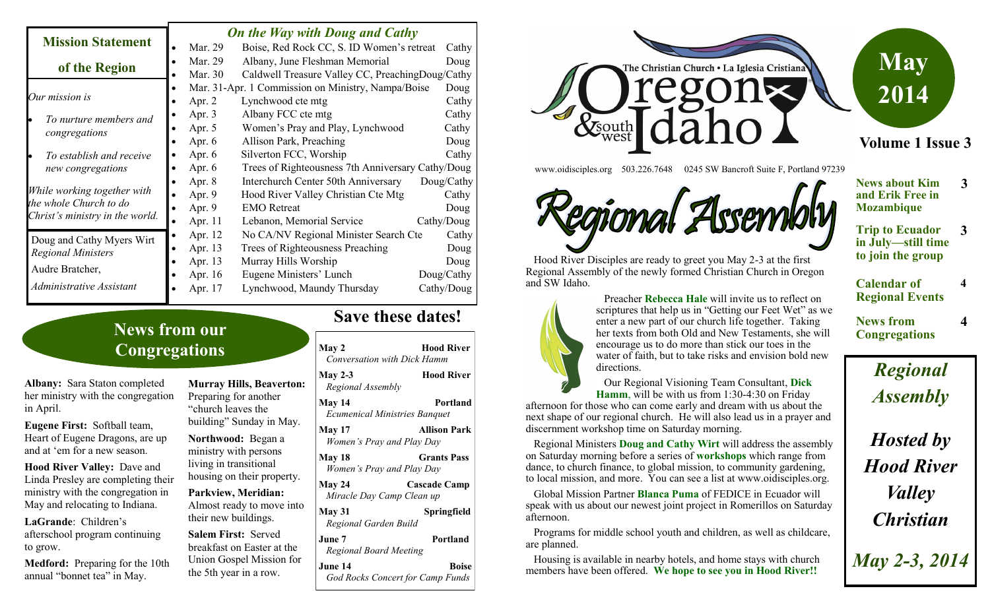|                                                                                          | <b>On the Way with Doug and Cathy</b>                         |                                                  |      |            |  |
|------------------------------------------------------------------------------------------|---------------------------------------------------------------|--------------------------------------------------|------|------------|--|
| <b>Mission Statement</b>                                                                 | Mar. 29                                                       | Boise, Red Rock CC, S. ID Women's retreat        |      | Cathy      |  |
| of the Region                                                                            | Mar. 29                                                       | Albany, June Fleshman Memorial                   | Doug |            |  |
|                                                                                          | Mar. 30                                                       | Caldwell Treasure Valley CC, PreachingDoug/Cathy |      |            |  |
| Our mission is                                                                           | Mar. 31-Apr. 1 Commission on Ministry, Nampa/Boise            |                                                  |      | Doug       |  |
|                                                                                          | Apr. 2                                                        | Lynchwood cte mtg                                |      | Cathy      |  |
| To nurture members and<br>congregations                                                  | Apr. 3                                                        | Albany FCC cte mtg                               |      | Cathy      |  |
|                                                                                          | Apr. 5                                                        | Women's Pray and Play, Lynchwood                 |      | Cathy      |  |
|                                                                                          | Apr. $6$                                                      | Allison Park, Preaching                          |      | Doug       |  |
| To establish and receive<br>new congregations                                            | Apr. $6$                                                      | Silverton FCC, Worship                           |      | Cathy      |  |
|                                                                                          | Trees of Righteousness 7th Anniversary Cathy/Doug<br>Apr. $6$ |                                                  |      |            |  |
| While working together with<br>the whole Church to do<br>Christ's ministry in the world. | Apr. $8$                                                      | Interchurch Center 50th Anniversary              |      | Doug/Cathy |  |
|                                                                                          | Apr. 9                                                        | Hood River Valley Christian Cte Mtg              |      | Cathy      |  |
|                                                                                          | Apr. 9                                                        | <b>EMO</b> Retreat                               |      | Doug       |  |
|                                                                                          | Apr. 11                                                       | Lebanon, Memorial Service                        |      | Cathy/Doug |  |
| Doug and Cathy Myers Wirt                                                                | Apr. 12                                                       | No CA/NV Regional Minister Search Cte            |      | Cathy      |  |
| <b>Regional Ministers</b>                                                                | Apr. 13                                                       | Trees of Righteousness Preaching                 |      | Doug       |  |
|                                                                                          | Apr. 13                                                       | Murray Hills Worship                             |      | Doug       |  |
| Audre Bratcher,                                                                          | Apr. 16                                                       | Eugene Ministers' Lunch                          |      | Doug/Cathy |  |
| Administrative Assistant                                                                 | Apr. 17                                                       | Lynchwood, Maundy Thursday                       |      | Cathy/Doug |  |

# **News from our Congregations**

**Albany:** Sara Staton completed her ministry with the congregation in April.

**Eugene First:** Softball team, Heart of Eugene Dragons, are up and at 'em for a new season.

**Hood River Valley:** Dave and Linda Presley are completing their ministry with the congregation in May and relocating to Indiana.

**LaGrande**: Children's afterschool program continuing to grow.

**Medford:** Preparing for the 10th annual "bonnet tea" in May.

**Murray Hills, Beaverton:**  Preparing for another "church leaves the building" Sunday in May. **Northwood:** Began a

ministry with persons living in transitional housing on their property.

**Parkview, Meridian:**  Almost ready to move into their new buildings.

**Salem First:** Served breakfast on Easter at the Union Gospel Mission for the 5th year in a row.

### **Save these dates!**

**May 2 Hood River** *Conversation with Dick Hamm* **May 2-3 Hood River** *Regional Assembly* **May 14 Portland** *Ecumenical Ministries Banquet* **May 17 Allison Park** *Women's Pray and Play Day* **May 18 Grants Pass** *Women's Pray and Play Day* **May 24 Cascade Camp** *Miracle Day Camp Clean up* **May 31 Springfield** *Regional Garden Build* **June 7 Portland** *Regional Board Meeting* **June 14 Boise** *God Rocks Concert for Camp Funds*



www.oidisciples.org 503.226.7648 0245 SW Bancroft Suite F, Portland 97239



 Hood River Disciples are ready to greet you May 2-3 at the first Regional Assembly of the newly formed Christian Church in Oregon and SW Idaho.



 Preacher **Rebecca Hale** will invite us to reflect on scriptures that help us in "Getting our Feet Wet" as we enter a new part of our church life together. Taking her texts from both Old and New Testaments, she will encourage us to do more than stick our toes in the water of faith, but to take risks and envision bold new directions.

 Our Regional Visioning Team Consultant, **Dick Hamm**, will be with us from 1:30-4:30 on Friday

afternoon for those who can come early and dream with us about the next shape of our regional church. He will also lead us in a prayer and discernment workshop time on Saturday morning.

 Regional Ministers **Doug and Cathy Wirt** will address the assembly on Saturday morning before a series of **workshops** which range from dance, to church finance, to global mission, to community gardening, to local mission, and more. You can see a list at www.oidisciples.org.

 Global Mission Partner **Blanca Puma** of FEDICE in Ecuador will speak with us about our newest joint project in Romerillos on Saturday afternoon.

 Programs for middle school youth and children, as well as childcare, are planned.

 Housing is available in nearby hotels, and home stays with church members have been offered. **We hope to see you in Hood River!!**

| <b>News about Kim</b> | 3 |
|-----------------------|---|
|                       |   |

- **and Erik Free in Mozambique**
- **Trip to Ecuador in July—still time to join the group 3**
- **Calendar of Regional Events 4**

**News from Congregations** **4**

*Regional Assembly*

*Hosted by Hood River Valley Christian*

*May 2-3, 2014*